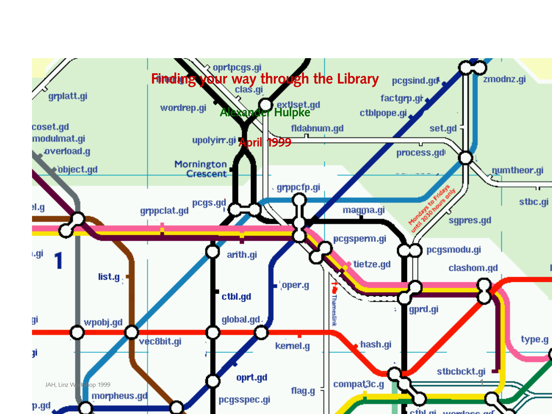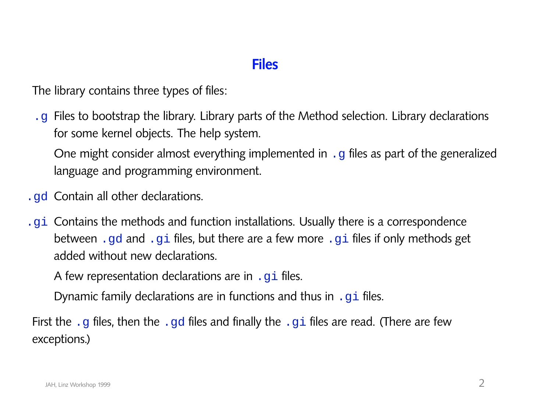#### **Files**

The library contains three types of files:

.g Files to bootstrap the library. Library parts of the Method selection. Library declarations for some kernel objects. The help system.

One might consider almost everything implemented in . g files as part of the generalized language and programming environment.

- .gd Contain all other declarations.
- .gi Contains the methods and function installations. Usually there is a correspondence between .gd and .gi files, but there are a few more .gi files if only methods get added without new declarations.

A few representation declarations are in .  $g\texttt{i}$  files.

Dynamic family declarations are in functions and thus in  $\cdot$  gi files.

First the .g files, then the .gd files and finally the .gi files are read. (There are few exceptions.)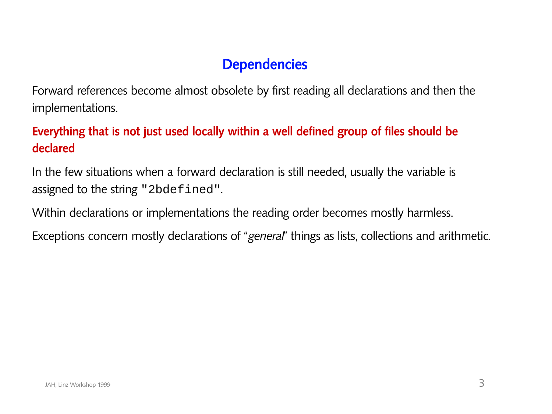## **Dependencies**

Forward references become almost obsolete by first reading all declarations and then the implementations.

#### **Everything that is not just used locally within a well defined group of files should be declared**

In the few situations when a forward declaration is still needed, usually the variable is assigned to the string "2bdefined".

Within declarations or implementations the reading order becomes mostly harmless.

Exceptions concern mostly declarations of "*general*" things as lists, collections and arithmetic.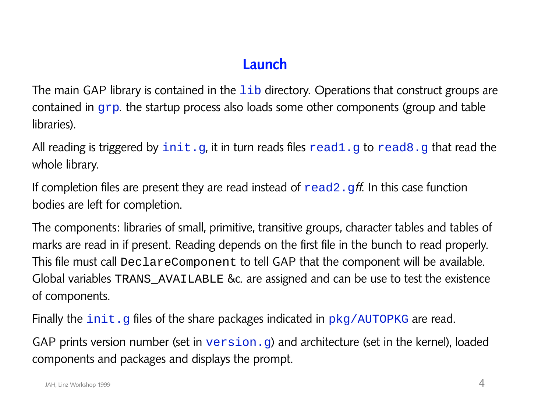# **Launch**

The main GAP library is contained in the  $1\text{ib}$  directory. Operations that construct groups are contained in grp. the startup process also loads some other components (group and table libraries).

All reading is triggered by  $init.g.$  it in turn reads files  $read1.g$  to  $read8.g$  that read the whole library.

If completion files are present they are read instead of  $\text{read} 2 \cdot \text{gft}$ . In this case function bodies are left for completion.

The components: libraries of small, primitive, transitive groups, character tables and tables of marks are read in if present. Reading depends on the first file in the bunch to read properly. This file must call DeclareComponent to tell GAP that the component will be available. Global variables TRANS\_AVAILABLE &c. are assigned and can be use to test the existence of components.

Finally the  $init.g$  files of the share packages indicated in  $pkg/AUTOPKG$  are read.

GAP prints version number (set in version.g) and architecture (set in the kernel), loaded components and packages and displays the prompt.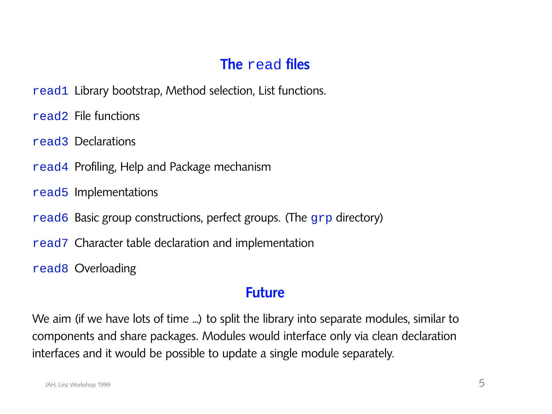# **The** read **files**

- read1 Library bootstrap, Method selection, List functions.
- read2 File functions
- read3 Declarations
- read4 Profiling, Help and Package mechanism
- read5 Implementations
- read6 Basic group constructions, perfect groups. (The grp directory)
- read7 Character table declaration and implementation
- read8 Overloading

#### **Future**

We aim (if we have lots of time ...) to split the library into separate modules, similar to components and share packages. Modules would interface only via clean declaration interfaces and it would be possible to update a single module separately.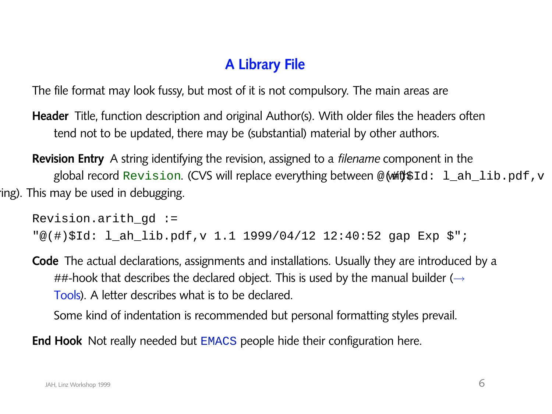# **A Library File**

The file format may look fussy, but most of it is not compulsory. The main areas are

- **Header** Title, function description and original Author(s). With older files the headers often tend not to be updated, there may be (substantial) material by other authors.
- **Revision Entry** A string identifying the revision, assigned to a *filename* component in the global record Revision. (CVS will replace everything between @( $\#$ th $\#$ Id:  $1_{ab}$ ]ib.pdf,v ing). This may be used in debugging.

```
Revision.arith_gd :=
"@(#)$Id: l_ah_lib.pdf,v 1.1 1999/04/12 12:40:52 gap Exp $";
```
**Code** The actual declarations, assignments and installations. Usually they are introduced by a ##-hook that describes the declared object. This is used by the manual builder ( $\rightarrow$ Tools). A letter describes what is to be declared.

Some kind of indentation is recommended but personal formatting styles prevail.

**End Hook** Not really needed but EMACS people hide their configuration here.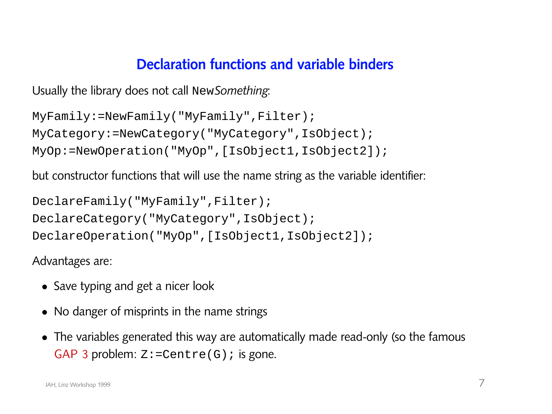#### **Declaration functions and variable binders**

```
Usually the library does not call NewSomething:
```

```
MyFamily:=NewFamily("MyFamily",Filter);
MyCategory:=NewCategory("MyCategory",IsObject);
MyOp:=NewOperation("MyOp",[IsObject1,IsObject2]);
```
but constructor functions that will use the name string as the variable identifier:

```
DeclareFamily("MyFamily",Filter);
DeclareCategory("MyCategory",IsObject);
DeclareOperation("MyOp",[IsObject1,IsObject2]);
```
Advantages are:

- Save typing and get a nicer look
- No danger of misprints in the name strings
- The variables generated this way are automatically made read-only (so the famous GAP 3 problem:  $Z: = \text{Centre}(G)$ ; is gone.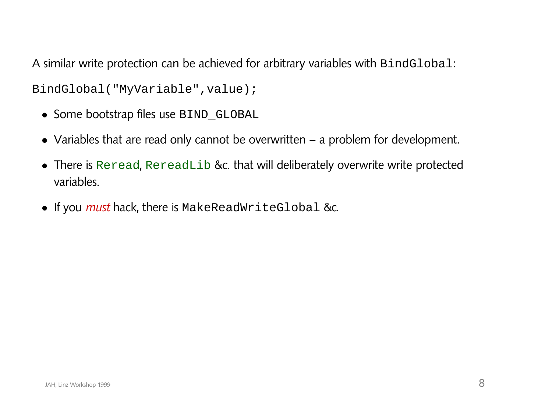A similar write protection can be achieved for arbitrary variables with BindGlobal:

BindGlobal("MyVariable",value);

- Some bootstrap files use BIND\_GLOBAL
- Variables that are read only cannot be overwritten a problem for development.
- There is Reread, RereadLib &c. that will deliberately overwrite write protected variables.
- If you *must* hack, there is MakeReadWriteGlobal &c.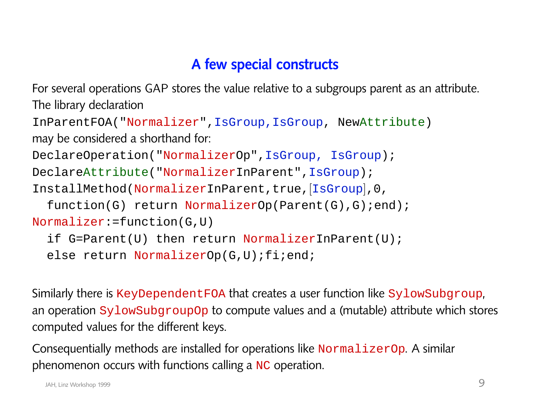## **A few special constructs**

For several operations GAP stores the value relative to a subgroups parent as an attribute. The library declaration InParentFOA("Normalizer",IsGroup,IsGroup, NewAttribute)

```
may be considered a shorthand for:
```

```
DeclareOperation("NormalizerOp",IsGroup, IsGroup);
```

```
DeclareAttribute("NormalizerInParent",IsGroup);
```

```
InstallMethod(NormalizerInParent,true,[IsGroup],0,
```

```
function(G) return NormalizerOp(Parent(G),G);end);
```

```
Normalizer:=function(G,U)
```

```
if G=Parent(U) then return NormalizerInParent(U);
```

```
else return NormalizerOp(G,U);fi;end;
```
Similarly there is KeyDependentFOA that creates a user function like SylowSubgroup, an operation SylowSubgroupOp to compute values and a (mutable) attribute which stores computed values for the different keys.

Consequentially methods are installed for operations like NormalizerOp. A similar phenomenon occurs with functions calling a NC operation.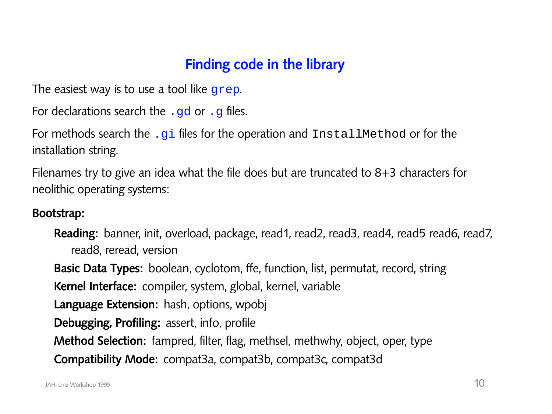## **Finding code in the library**

The easiest way is to use a tool like grep.

For declarations search the  $.gd$  or  $.g$  files.

For methods search the .gi files for the operation and InstallMethod or for the installation string.

Filenames try to give an idea what the file does but are truncated to 8+3 characters for neolithic operating systems:

#### **Bootstrap:**

**Reading:** banner, init, overload, package, read1, read2, read3, read4, read5 read6, read7, read8, reread, version

**Basic Data Types:** boolean, cyclotom, ffe, function, list, permutat, record, string **Kernel Interface:** compiler, system, global, kernel, variable **Language Extension:** hash, options, wpobj **Debugging, Profiling:** assert, info, profile **Method Selection:** fampred, filter, flag, methsel, methwhy, object, oper, type **Compatibility Mode:** compat3a, compat3b, compat3c, compat3d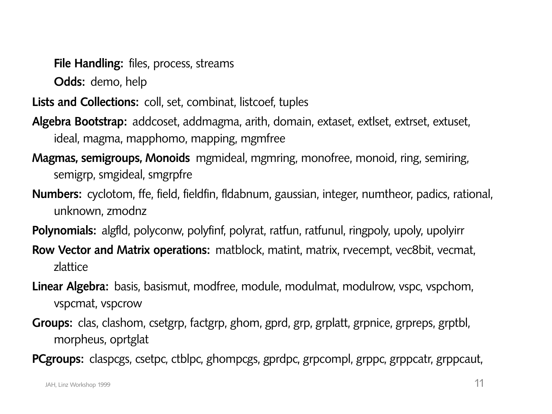**File Handling:** files, process, streams

**Odds:** demo, help

**Lists and Collections:** coll, set, combinat, listcoef, tuples

- **Algebra Bootstrap:** addcoset, addmagma, arith, domain, extaset, extlset, extrset, extuset, ideal, magma, mapphomo, mapping, mgmfree
- **Magmas, semigroups, Monoids** mgmideal, mgmring, monofree, monoid, ring, semiring, semigrp, smgideal, smgrpfre
- **Numbers:** cyclotom, ffe, field, fieldfin, fldabnum, gaussian, integer, numtheor, padics, rational, unknown, zmodnz
- **Polynomials:** algfld, polyconw, polyfinf, polyrat, ratfun, ratfunul, ringpoly, upoly, upolyirr
- **Row Vector and Matrix operations:** matblock, matint, matrix, rvecempt, vec8bit, vecmat, zlattice
- **Linear Algebra:** basis, basismut, modfree, module, modulmat, modulrow, vspc, vspchom, vspcmat, vspcrow
- **Groups:** clas, clashom, csetgrp, factgrp, ghom, gprd, grp, grplatt, grpnice, grpreps, grptbl, morpheus, oprtglat
- **PCgroups:** claspcgs, csetpc, ctblpc, ghompcgs, gprdpc, grpcompl, grppc, grppcatr, grppcaut,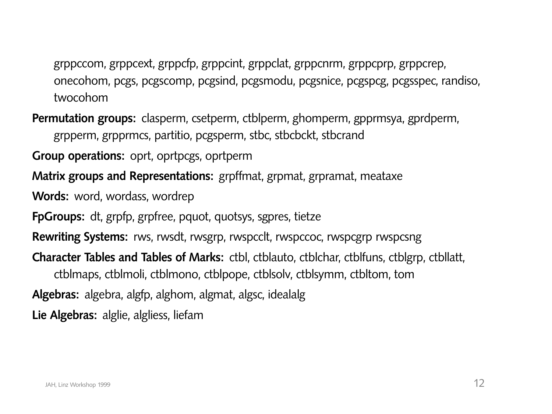grppccom, grppcext, grppcfp, grppcint, grppclat, grppcnrm, grppcprp, grppcrep, onecohom, pcgs, pcgscomp, pcgsind, pcgsmodu, pcgsnice, pcgspcg, pcgsspec, randiso, twocohom

**Permutation groups:** clasperm, csetperm, ctblperm, ghomperm, gpprmsya, gprdperm, grpperm, grpprmcs, partitio, pcgsperm, stbc, stbcbckt, stbcrand

**Group operations:** oprt, oprtpcgs, oprtperm

**Matrix groups and Representations:** grpffmat, grpmat, grpramat, meataxe

Words: word, wordass, wordrep

**FpGroups:** dt, grpfp, grpfree, pquot, quotsys, sgpres, tietze

**Rewriting Systems:** rws, rwsdt, rwsgrp, rwspcclt, rwspccoc, rwspcgrp rwspcsng

**Character Tables and Tables of Marks:** ctbl, ctblauto, ctblchar, ctblfuns, ctblgrp, ctbllatt,

ctblmaps, ctblmoli, ctblmono, ctblpope, ctblsolv, ctblsymm, ctbltom, tom

**Algebras:** algebra, algfp, alghom, algmat, algsc, idealalg

**Lie Algebras:** alglie, algliess, liefam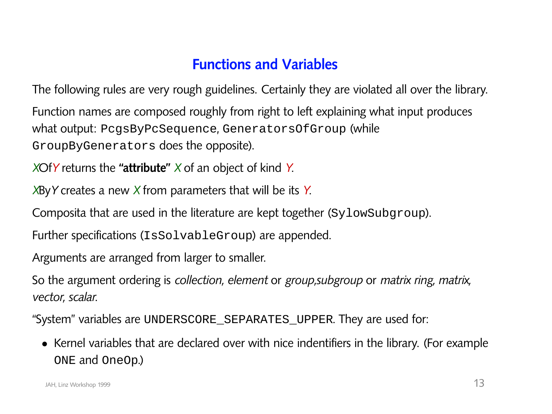## **Functions and Variables**

The following rules are very rough guidelines. Certainly they are violated all over the library.

Function names are composed roughly from right to left explaining what input produces what output: PcgsByPcSequence, GeneratorsOfGroup (while GroupByGenerators does the opposite).

*X*Of*Y* returns the **"attribute"** *X* of an object of kind *Y*.

*X*By*Y* creates a new *X* from parameters that will be its *Y*.

Composita that are used in the literature are kept together (SylowSubgroup).

Further specifications (IsSolvableGroup) are appended.

Arguments are arranged from larger to smaller.

So the argument ordering is *collection, element* or *group,subgroup* or *matrix ring, matrix, vector, scalar*.

"System" variables are UNDERSCORE\_SEPARATES\_UPPER. They are used for:

• Kernel variables that are declared over with nice indentifiers in the library. (For example ONE and OneOp.)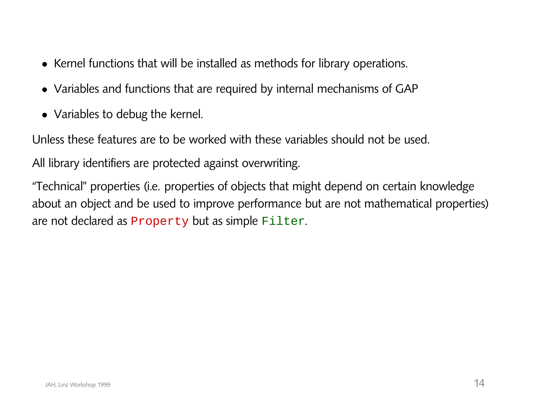- Kernel functions that will be installed as methods for library operations.
- Variables and functions that are required by internal mechanisms of GAP
- Variables to debug the kernel.

Unless these features are to be worked with these variables should not be used.

All library identifiers are protected against overwriting.

"Technical" properties (i.e. properties of objects that might depend on certain knowledge about an object and be used to improve performance but are not mathematical properties) are not declared as Property but as simple Filter.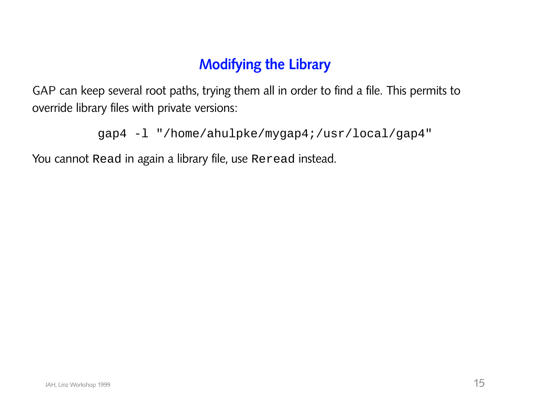## **Modifying the Library**

GAP can keep several root paths, trying them all in order to find a file. This permits to override library files with private versions:

```
gap4 -l "/home/ahulpke/mygap4;/usr/local/gap4"
```
You cannot Read in again a library file, use Reread instead.